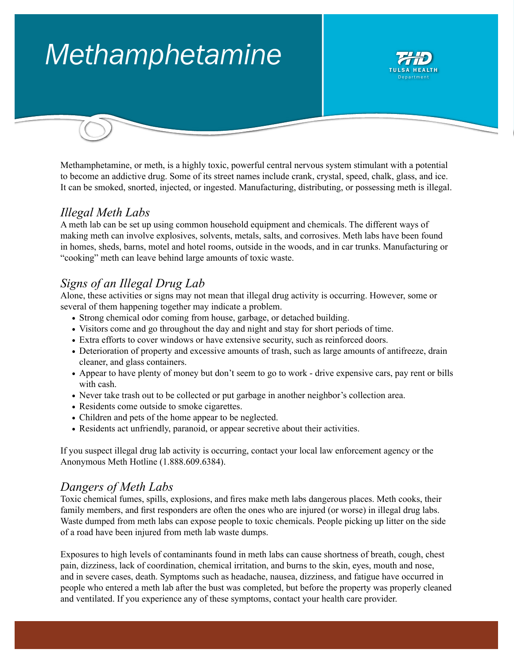# *Methamphetamine*



Methamphetamine, or meth, is a highly toxic, powerful central nervous system stimulant with a potential to become an addictive drug. Some of its street names include crank, crystal, speed, chalk, glass, and ice. It can be smoked, snorted, injected, or ingested. Manufacturing, distributing, or possessing meth is illegal.

# *Illegal Meth Labs*

A meth lab can be set up using common household equipment and chemicals. The different ways of making meth can involve explosives, solvents, metals, salts, and corrosives. Meth labs have been found in homes, sheds, barns, motel and hotel rooms, outside in the woods, and in car trunks. Manufacturing or "cooking" meth can leave behind large amounts of toxic waste.

# *Signs of an Illegal Drug Lab*

Alone, these activities or signs may not mean that illegal drug activity is occurring. However, some or several of them happening together may indicate a problem.

- Strong chemical odor coming from house, garbage, or detached building.
- Visitors come and go throughout the day and night and stay for short periods of time.
- Extra efforts to cover windows or have extensive security, such as reinforced doors.
- Deterioration of property and excessive amounts of trash, such as large amounts of antifreeze, drain cleaner, and glass containers.
- Appear to have plenty of money but don't seem to go to work drive expensive cars, pay rent or bills with cash.
- Never take trash out to be collected or put garbage in another neighbor's collection area.
- Residents come outside to smoke cigarettes.
- Children and pets of the home appear to be neglected.
- Residents act unfriendly, paranoid, or appear secretive about their activities.

If you suspect illegal drug lab activity is occurring, contact your local law enforcement agency or the Anonymous Meth Hotline (1.888.609.6384).

#### *Dangers of Meth Labs*

Toxic chemical fumes, spills, explosions, and fires make meth labs dangerous places. Meth cooks, their family members, and first responders are often the ones who are injured (or worse) in illegal drug labs. Waste dumped from meth labs can expose people to toxic chemicals. People picking up litter on the side of a road have been injured from meth lab waste dumps.

Exposures to high levels of contaminants found in meth labs can cause shortness of breath, cough, chest pain, dizziness, lack of coordination, chemical irritation, and burns to the skin, eyes, mouth and nose, and in severe cases, death. Symptoms such as headache, nausea, dizziness, and fatigue have occurred in people who entered a meth lab after the bust was completed, but before the property was properly cleaned and ventilated. If you experience any of these symptoms, contact your health care provider.